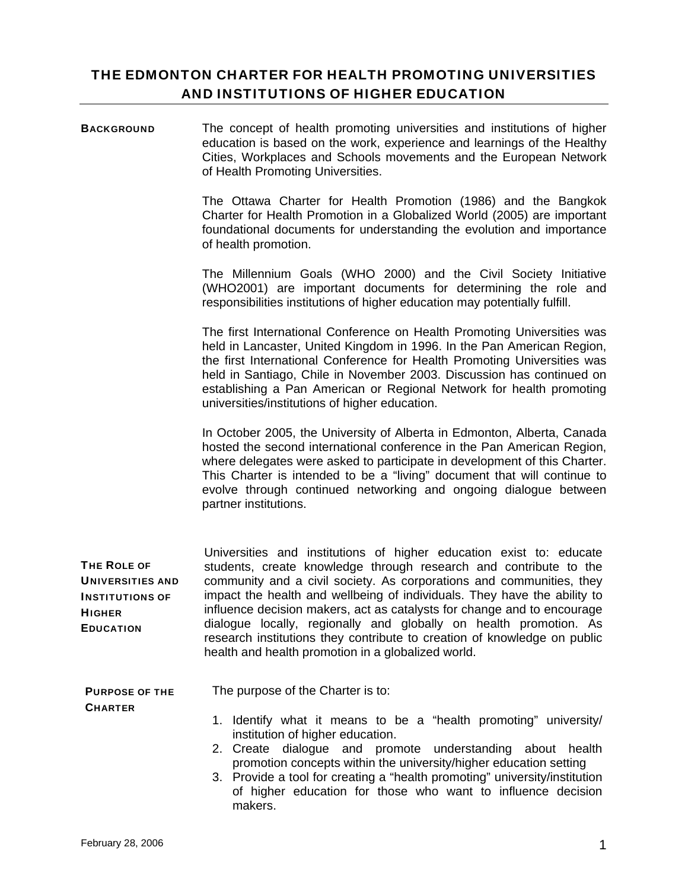# THE EDMONTON CHARTER FOR HEALTH PROMOTING UNIVERSITIES AND INSTITUTIONS OF HIGHER EDUCATION

BACKGROUND The concept of health promoting universities and institutions of higher education is based on the work, experience and learnings of the Healthy Cities, Workplaces and Schools movements and the European Network of Health Promoting Universities.

> The Ottawa Charter for Health Promotion (1986) and the Bangkok Charter for Health Promotion in a Globalized World (2005) are important foundational documents for understanding the evolution and importance of health promotion.

> The Millennium Goals (WHO 2000) and the Civil Society Initiative (WHO2001) are important documents for determining the role and responsibilities institutions of higher education may potentially fulfill.

> The first International Conference on Health Promoting Universities was held in Lancaster, United Kingdom in 1996. In the Pan American Region, the first International Conference for Health Promoting Universities was held in Santiago, Chile in November 2003. Discussion has continued on establishing a Pan American or Regional Network for health promoting universities/institutions of higher education.

> In October 2005, the University of Alberta in Edmonton, Alberta, Canada hosted the second international conference in the Pan American Region, where delegates were asked to participate in development of this Charter. This Charter is intended to be a "living" document that will continue to evolve through continued networking and ongoing dialogue between partner institutions.

|                         | Universities and institutions of higher education exist to: educate                                                                                                                                 |
|-------------------------|-----------------------------------------------------------------------------------------------------------------------------------------------------------------------------------------------------|
| THE ROLE OF             | students, create knowledge through research and contribute to the                                                                                                                                   |
| <b>UNIVERSITIES AND</b> | community and a civil society. As corporations and communities, they                                                                                                                                |
| <b>INSTITUTIONS OF</b>  | impact the health and wellbeing of individuals. They have the ability to                                                                                                                            |
| <b>HIGHER</b>           | influence decision makers, act as catalysts for change and to encourage                                                                                                                             |
| <b>EDUCATION</b>        | dialogue locally, regionally and globally on health promotion. As<br>research institutions they contribute to creation of knowledge on public<br>health and health promotion in a globalized world. |

PURPOSE OF THE The purpose of the Charter is to:

**CHARTER** 

- 1. Identify what it means to be a "health promoting" university/ institution of higher education.
- 2. Create dialogue and promote understanding about health promotion concepts within the university/higher education setting
- 3. Provide a tool for creating a "health promoting" university/institution of higher education for those who want to influence decision makers.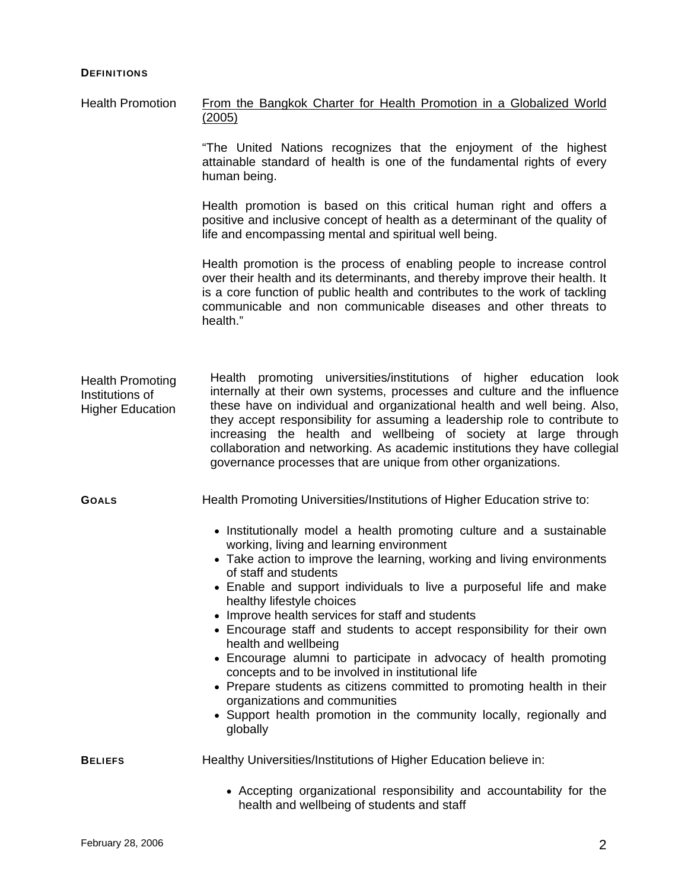#### **DEFINITIONS**

Health Promotion From the Bangkok Charter for Health Promotion in a Globalized World (2005)

> "The United Nations recognizes that the enjoyment of the highest attainable standard of health is one of the fundamental rights of every human being.

> Health promotion is based on this critical human right and offers a positive and inclusive concept of health as a determinant of the quality of life and encompassing mental and spiritual well being.

> Health promotion is the process of enabling people to increase control over their health and its determinants, and thereby improve their health. It is a core function of public health and contributes to the work of tackling communicable and non communicable diseases and other threats to health."

Health promoting universities/institutions of higher education look internally at their own systems, processes and culture and the influence these have on individual and organizational health and well being. Also, they accept responsibility for assuming a leadership role to contribute to increasing the health and wellbeing of society at large through collaboration and networking. As academic institutions they have collegial governance processes that are unique from other organizations. Health Promoting Institutions of Higher Education

GOALS **Health Promoting Universities/Institutions of Higher Education strive to:** 

- Institutionally model a health promoting culture and a sustainable working, living and learning environment
- Take action to improve the learning, working and living environments of staff and students
- Enable and support individuals to live a purposeful life and make healthy lifestyle choices
- Improve health services for staff and students
- Encourage staff and students to accept responsibility for their own health and wellbeing
- Encourage alumni to participate in advocacy of health promoting concepts and to be involved in institutional life
- Prepare students as citizens committed to promoting health in their organizations and communities
- Support health promotion in the community locally, regionally and globally

**BELIEFS** Healthy Universities/Institutions of Higher Education believe in:

• Accepting organizational responsibility and accountability for the health and wellbeing of students and staff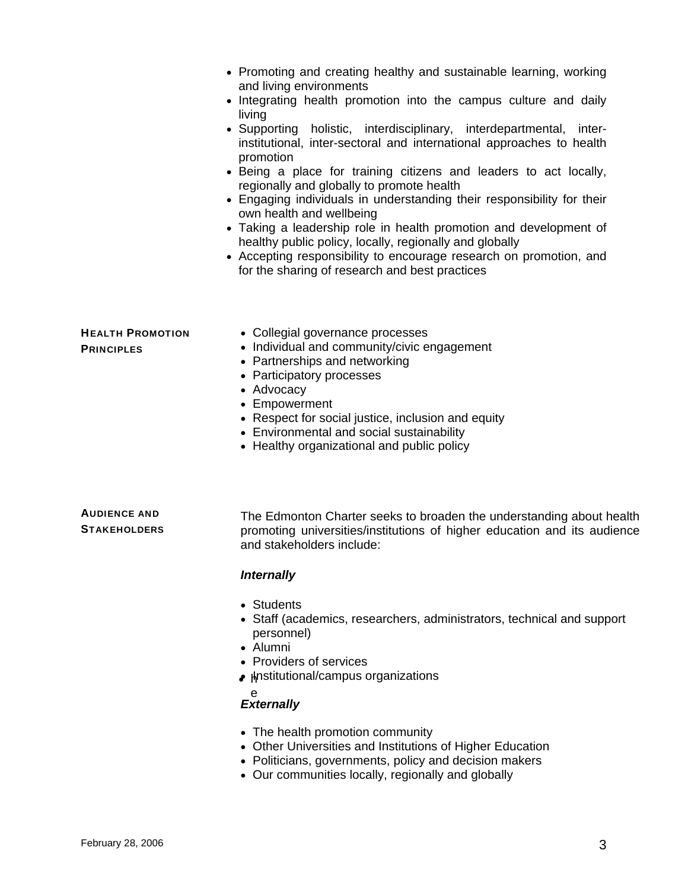|                                              | • Promoting and creating healthy and sustainable learning, working<br>and living environments<br>• Integrating health promotion into the campus culture and daily<br>living<br>• Supporting holistic, interdisciplinary, interdepartmental, inter-<br>institutional, inter-sectoral and international approaches to health<br>promotion<br>• Being a place for training citizens and leaders to act locally,<br>regionally and globally to promote health<br>• Engaging individuals in understanding their responsibility for their<br>own health and wellbeing<br>• Taking a leadership role in health promotion and development of<br>healthy public policy, locally, regionally and globally<br>• Accepting responsibility to encourage research on promotion, and<br>for the sharing of research and best practices |
|----------------------------------------------|-------------------------------------------------------------------------------------------------------------------------------------------------------------------------------------------------------------------------------------------------------------------------------------------------------------------------------------------------------------------------------------------------------------------------------------------------------------------------------------------------------------------------------------------------------------------------------------------------------------------------------------------------------------------------------------------------------------------------------------------------------------------------------------------------------------------------|
| <b>HEALTH PROMOTION</b><br><b>PRINCIPLES</b> | • Collegial governance processes<br>• Individual and community/civic engagement<br>• Partnerships and networking<br>• Participatory processes<br>• Advocacy<br>• Empowerment<br>• Respect for social justice, inclusion and equity<br>• Environmental and social sustainability<br>• Healthy organizational and public policy                                                                                                                                                                                                                                                                                                                                                                                                                                                                                           |
| <b>AUDIENCE AND</b><br><b>STAKEHOLDERS</b>   | The Edmonton Charter seeks to broaden the understanding about health<br>promoting universities/institutions of higher education and its audience<br>and stakeholders include:<br><b>Internally</b>                                                                                                                                                                                                                                                                                                                                                                                                                                                                                                                                                                                                                      |
|                                              | • Students<br>Staff (academics, researchers, administrators, technical and support<br>personnel)<br>• Alumni<br>• Providers of services<br>• µnstitutional/campus organizations                                                                                                                                                                                                                                                                                                                                                                                                                                                                                                                                                                                                                                         |

### e *Externally*

- The health promotion community
- Other Universities and Institutions of Higher Education
- Politicians, governments, policy and decision makers
- Our communities locally, regionally and globally